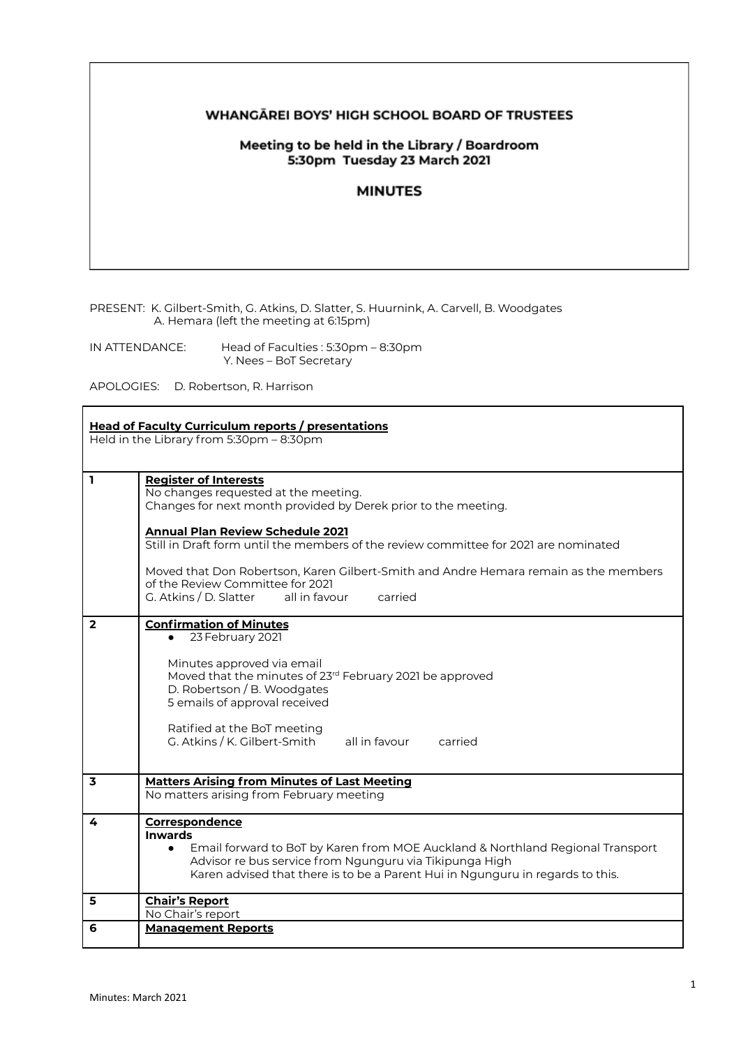#### WHANGĀREI BOYS' HIGH SCHOOL BOARD OF TRUSTEES

## Meeting to be held in the Library / Boardroom 5:30pm Tuesday 23 March 2021

## **MINUTES**

PRESENT: K. Gilbert-Smith, G. Atkins, D. Slatter, S. Huurnink, A. Carvell, B. Woodgates A. Hemara (left the meeting at 6:15pm)

IN ATTENDANCE: Head of Faculties : 5:30pm – 8:30pm Y. Nees – BoT Secretary

APOLOGIES: D. Robertson, R. Harrison

| <b>Head of Faculty Curriculum reports / presentations</b><br>Held in the Library from 5:30pm - 8:30pm |                                                                                                                                                                                                                                                                                                                                                                                                                                                             |  |
|-------------------------------------------------------------------------------------------------------|-------------------------------------------------------------------------------------------------------------------------------------------------------------------------------------------------------------------------------------------------------------------------------------------------------------------------------------------------------------------------------------------------------------------------------------------------------------|--|
| $\mathbf{1}$                                                                                          | <b>Register of Interests</b><br>No changes requested at the meeting.<br>Changes for next month provided by Derek prior to the meeting.<br><b>Annual Plan Review Schedule 2021</b><br>Still in Draft form until the members of the review committee for 2021 are nominated<br>Moved that Don Robertson, Karen Gilbert-Smith and Andre Hemara remain as the members<br>of the Review Committee for 2021<br>G. Atkins / D. Slatter<br>all in favour<br>carried |  |
| $\overline{2}$                                                                                        | <b>Confirmation of Minutes</b><br>23 February 2021<br>Minutes approved via email<br>Moved that the minutes of 23 <sup>rd</sup> February 2021 be approved<br>D. Robertson / B. Woodgates<br>5 emails of approval received<br>Ratified at the BoT meeting<br>G. Atkins / K. Gilbert-Smith<br>all in favour<br>carried                                                                                                                                         |  |
| $\overline{\mathbf{3}}$                                                                               | <b>Matters Arising from Minutes of Last Meeting</b><br>No matters arising from February meeting                                                                                                                                                                                                                                                                                                                                                             |  |
| 4                                                                                                     | Correspondence<br><b>Inwards</b><br>Email forward to BoT by Karen from MOE Auckland & Northland Regional Transport<br>$\bullet$<br>Advisor re bus service from Ngunguru via Tikipunga High<br>Karen advised that there is to be a Parent Hui in Ngunguru in regards to this.                                                                                                                                                                                |  |
| 5                                                                                                     | <b>Chair's Report</b><br>No Chair's report                                                                                                                                                                                                                                                                                                                                                                                                                  |  |
| 6                                                                                                     | <b>Management Reports</b>                                                                                                                                                                                                                                                                                                                                                                                                                                   |  |

٦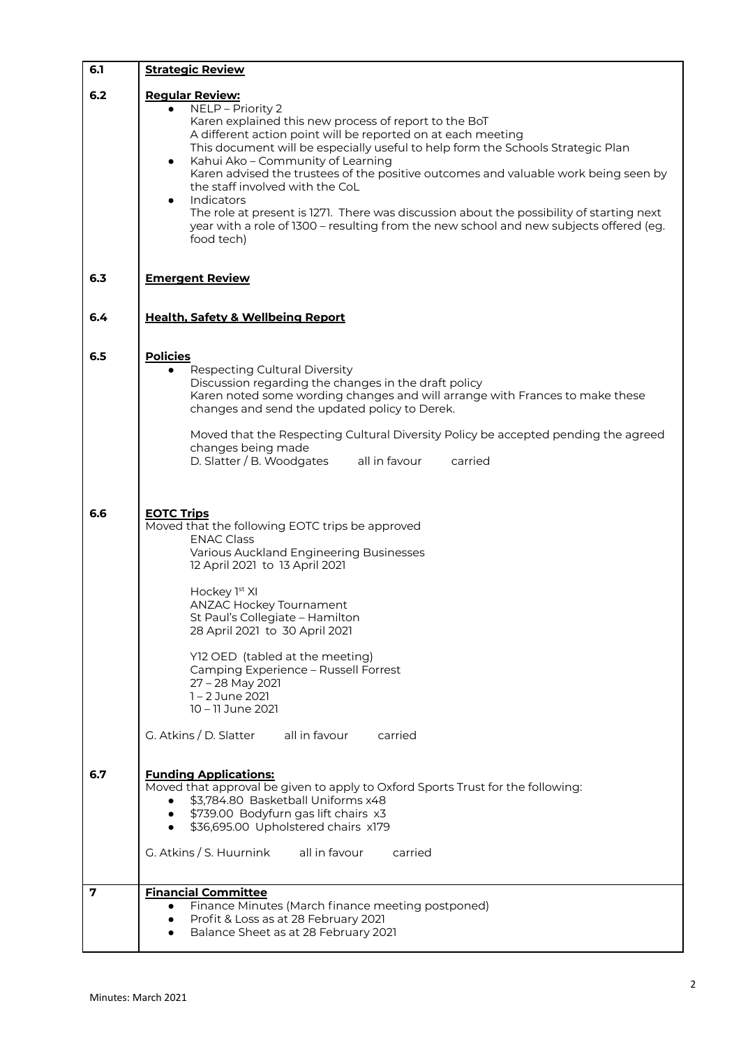| 6.1 | <b>Strategic Review</b>                                                                                                                                                                                                                                                                                                                                                                                                                                                                                                                                                                                                                                            |
|-----|--------------------------------------------------------------------------------------------------------------------------------------------------------------------------------------------------------------------------------------------------------------------------------------------------------------------------------------------------------------------------------------------------------------------------------------------------------------------------------------------------------------------------------------------------------------------------------------------------------------------------------------------------------------------|
| 6.2 | <b>Regular Review:</b><br>NELP - Priority 2<br>Karen explained this new process of report to the BoT<br>A different action point will be reported on at each meeting<br>This document will be especially useful to help form the Schools Strategic Plan<br>Kahui Ako - Community of Learning<br>$\bullet$<br>Karen advised the trustees of the positive outcomes and valuable work being seen by<br>the staff involved with the CoL<br>Indicators<br>$\bullet$<br>The role at present is 1271. There was discussion about the possibility of starting next<br>year with a role of 1300 – resulting from the new school and new subjects offered (eg.<br>food tech) |
| 6.3 | <b>Emergent Review</b>                                                                                                                                                                                                                                                                                                                                                                                                                                                                                                                                                                                                                                             |
| 6.4 | <b>Health, Safety &amp; Wellbeing Report</b>                                                                                                                                                                                                                                                                                                                                                                                                                                                                                                                                                                                                                       |
| 6.5 | <b>Policies</b><br>Respecting Cultural Diversity<br>$\bullet$<br>Discussion regarding the changes in the draft policy<br>Karen noted some wording changes and will arrange with Frances to make these<br>changes and send the updated policy to Derek.<br>Moved that the Respecting Cultural Diversity Policy be accepted pending the agreed<br>changes being made<br>D. Slatter / B. Woodgates<br>all in favour<br>carried                                                                                                                                                                                                                                        |
| 6.6 | <b>EOTC Trips</b><br>Moved that the following EOTC trips be approved<br><b>ENAC Class</b><br>Various Auckland Engineering Businesses<br>12 April 2021 to 13 April 2021<br>Hockey 1st XI<br>ANZAC Hockey Tournament<br>St Paul's Collegiate - Hamilton<br>28 April 2021 to 30 April 2021<br>Y12 OED (tabled at the meeting)<br>Camping Experience - Russell Forrest<br>27 - 28 May 2021<br>1-2 June 2021<br>10 - 11 June 2021<br>G. Atkins / D. Slatter<br>all in favour<br>carried                                                                                                                                                                                 |
| 6.7 | <b>Funding Applications:</b><br>Moved that approval be given to apply to Oxford Sports Trust for the following:<br>\$3,784.80 Basketball Uniforms x48<br>\$739.00 Bodyfurn gas lift chairs x3<br>\$36,695.00 Upholstered chairs x179<br>G. Atkins / S. Huurnink<br>all in favour<br>carried                                                                                                                                                                                                                                                                                                                                                                        |
| 7   | <b>Financial Committee</b>                                                                                                                                                                                                                                                                                                                                                                                                                                                                                                                                                                                                                                         |
|     | Finance Minutes (March finance meeting postponed)<br>$\bullet$<br>Profit & Loss as at 28 February 2021<br>٠<br>Balance Sheet as at 28 February 2021                                                                                                                                                                                                                                                                                                                                                                                                                                                                                                                |